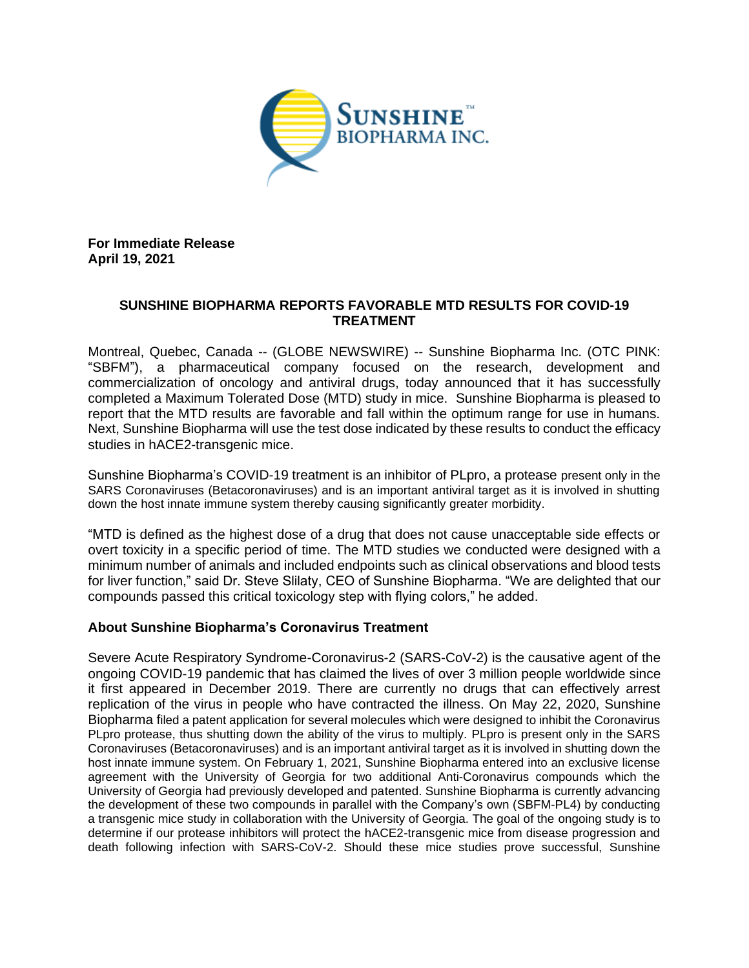

**For Immediate Release April 19, 2021**

## **SUNSHINE BIOPHARMA REPORTS FAVORABLE MTD RESULTS FOR COVID-19 TREATMENT**

Montreal, Quebec, Canada -- (GLOBE NEWSWIRE) -- Sunshine Biopharma Inc. (OTC PINK: "SBFM"), a pharmaceutical company focused on the research, development and commercialization of oncology and antiviral drugs, today announced that it has successfully completed a Maximum Tolerated Dose (MTD) study in mice. Sunshine Biopharma is pleased to report that the MTD results are favorable and fall within the optimum range for use in humans. Next, Sunshine Biopharma will use the test dose indicated by these results to conduct the efficacy studies in hACE2-transgenic mice.

Sunshine Biopharma's COVID-19 treatment is an inhibitor of PLpro, a protease present only in the SARS Coronaviruses (Betacoronaviruses) and is an important antiviral target as it is involved in shutting down the host innate immune system thereby causing significantly greater morbidity.

"MTD is defined as the highest dose of a drug that does not cause unacceptable side effects or overt toxicity in a specific period of time. The MTD studies we conducted were designed with a minimum number of animals and included endpoints such as clinical observations and blood tests for liver function," said Dr. Steve Slilaty, CEO of Sunshine Biopharma. "We are delighted that our compounds passed this critical toxicology step with flying colors," he added.

## **About Sunshine Biopharma's Coronavirus Treatment**

Severe Acute Respiratory Syndrome-Coronavirus-2 (SARS-CoV-2) is the causative agent of the ongoing COVID-19 pandemic that has claimed the lives of over 3 million people worldwide since it first appeared in December 2019. There are currently no drugs that can effectively arrest replication of the virus in people who have contracted the illness. On May 22, 2020, Sunshine Biopharma filed a patent application for several molecules which were designed to inhibit the Coronavirus PLpro protease, thus shutting down the ability of the virus to multiply. PLpro is present only in the SARS Coronaviruses (Betacoronaviruses) and is an important antiviral target as it is involved in shutting down the host innate immune system. On February 1, 2021, Sunshine Biopharma entered into an exclusive license agreement with the University of Georgia for two additional Anti-Coronavirus compounds which the University of Georgia had previously developed and patented. Sunshine Biopharma is currently advancing the development of these two compounds in parallel with the Company's own (SBFM-PL4) by conducting a transgenic mice study in collaboration with the University of Georgia. The goal of the ongoing study is to determine if our protease inhibitors will protect the hACE2-transgenic mice from disease progression and death following infection with SARS-CoV-2. Should these mice studies prove successful, Sunshine